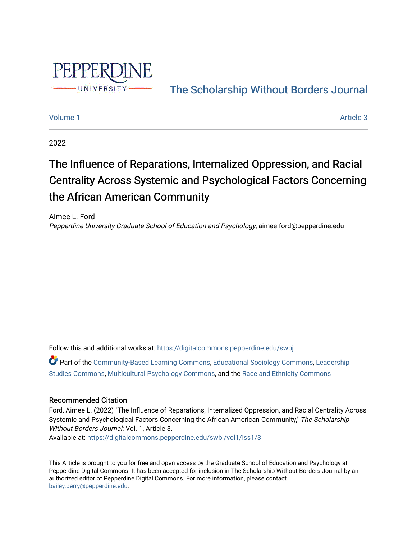

# [The Scholarship Without Borders Journal](https://digitalcommons.pepperdine.edu/swbj)

#### [Volume 1](https://digitalcommons.pepperdine.edu/swbj/vol1) Article 3

2022

# The Influence of Reparations, Internalized Oppression, and Racial Centrality Across Systemic and Psychological Factors Concerning the African American Community

Aimee L. Ford Pepperdine University Graduate School of Education and Psychology, aimee.ford@pepperdine.edu

Follow this and additional works at: [https://digitalcommons.pepperdine.edu/swbj](https://digitalcommons.pepperdine.edu/swbj?utm_source=digitalcommons.pepperdine.edu%2Fswbj%2Fvol1%2Fiss1%2F3&utm_medium=PDF&utm_campaign=PDFCoverPages)

Part of the [Community-Based Learning Commons,](https://network.bepress.com/hgg/discipline/1046?utm_source=digitalcommons.pepperdine.edu%2Fswbj%2Fvol1%2Fiss1%2F3&utm_medium=PDF&utm_campaign=PDFCoverPages) [Educational Sociology Commons,](https://network.bepress.com/hgg/discipline/1071?utm_source=digitalcommons.pepperdine.edu%2Fswbj%2Fvol1%2Fiss1%2F3&utm_medium=PDF&utm_campaign=PDFCoverPages) [Leadership](https://network.bepress.com/hgg/discipline/1250?utm_source=digitalcommons.pepperdine.edu%2Fswbj%2Fvol1%2Fiss1%2F3&utm_medium=PDF&utm_campaign=PDFCoverPages) [Studies Commons,](https://network.bepress.com/hgg/discipline/1250?utm_source=digitalcommons.pepperdine.edu%2Fswbj%2Fvol1%2Fiss1%2F3&utm_medium=PDF&utm_campaign=PDFCoverPages) [Multicultural Psychology Commons,](https://network.bepress.com/hgg/discipline/1237?utm_source=digitalcommons.pepperdine.edu%2Fswbj%2Fvol1%2Fiss1%2F3&utm_medium=PDF&utm_campaign=PDFCoverPages) and the [Race and Ethnicity Commons](https://network.bepress.com/hgg/discipline/426?utm_source=digitalcommons.pepperdine.edu%2Fswbj%2Fvol1%2Fiss1%2F3&utm_medium=PDF&utm_campaign=PDFCoverPages)

#### Recommended Citation

Ford, Aimee L. (2022) "The Influence of Reparations, Internalized Oppression, and Racial Centrality Across Systemic and Psychological Factors Concerning the African American Community," The Scholarship Without Borders Journal: Vol. 1, Article 3. Available at: [https://digitalcommons.pepperdine.edu/swbj/vol1/iss1/3](https://digitalcommons.pepperdine.edu/swbj/vol1/iss1/3?utm_source=digitalcommons.pepperdine.edu%2Fswbj%2Fvol1%2Fiss1%2F3&utm_medium=PDF&utm_campaign=PDFCoverPages) 

This Article is brought to you for free and open access by the Graduate School of Education and Psychology at Pepperdine Digital Commons. It has been accepted for inclusion in The Scholarship Without Borders Journal by an authorized editor of Pepperdine Digital Commons. For more information, please contact [bailey.berry@pepperdine.edu](mailto:bailey.berry@pepperdine.edu).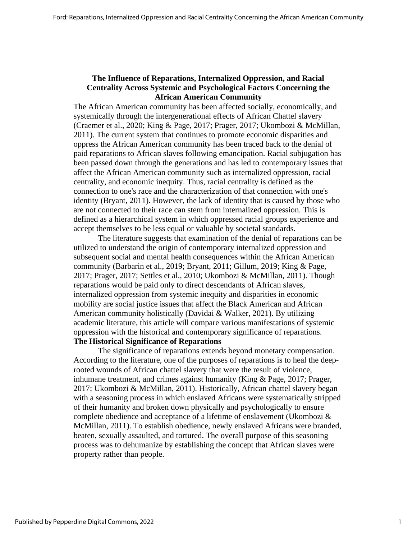# **The Influence of Reparations, Internalized Oppression, and Racial Centrality Across Systemic and Psychological Factors Concerning the African American Community**

The African American community has been affected socially, economically, and systemically through the intergenerational effects of African Chattel slavery (Craemer et al., 2020; King & Page, 2017; Prager, 2017; Ukombozi & McMillan, 2011). The current system that continues to promote economic disparities and oppress the African American community has been traced back to the denial of paid reparations to African slaves following emancipation. Racial subjugation has been passed down through the generations and has led to contemporary issues that affect the African American community such as internalized oppression, racial centrality, and economic inequity. Thus, racial centrality is defined as the connection to one's race and the characterization of that connection with one's identity (Bryant, 2011). However, the lack of identity that is caused by those who are not connected to their race can stem from internalized oppression. This is defined as a hierarchical system in which oppressed racial groups experience and accept themselves to be less equal or valuable by societal standards.

The literature suggests that examination of the denial of reparations can be utilized to understand the origin of contemporary internalized oppression and subsequent social and mental health consequences within the African American community (Barbarin et al., 2019; Bryant, 2011; Gillum, 2019; King & Page, 2017; Prager, 2017; Settles et al., 2010; Ukombozi & McMillan, 2011). Though reparations would be paid only to direct descendants of African slaves, internalized oppression from systemic inequity and disparities in economic mobility are social justice issues that affect the Black American and African American community holistically (Davidai & Walker, 2021). By utilizing academic literature, this article will compare various manifestations of systemic oppression with the historical and contemporary significance of reparations. **The Historical Significance of Reparations**

The significance of reparations extends beyond monetary compensation. According to the literature, one of the purposes of reparations is to heal the deeprooted wounds of African chattel slavery that were the result of violence, inhumane treatment, and crimes against humanity (King & Page, 2017; Prager, 2017; Ukombozi & McMillan, 2011). Historically, African chattel slavery began with a seasoning process in which enslaved Africans were systematically stripped of their humanity and broken down physically and psychologically to ensure complete obedience and acceptance of a lifetime of enslavement (Ukombozi & McMillan, 2011). To establish obedience, newly enslaved Africans were branded, beaten, sexually assaulted, and tortured. The overall purpose of this seasoning process was to dehumanize by establishing the concept that African slaves were property rather than people.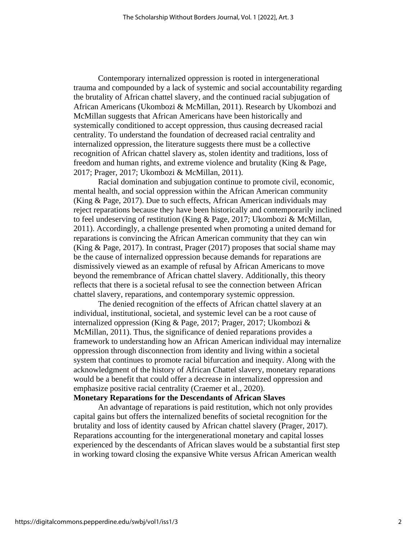Contemporary internalized oppression is rooted in intergenerational trauma and compounded by a lack of systemic and social accountability regarding the brutality of African chattel slavery, and the continued racial subjugation of African Americans (Ukombozi & McMillan, 2011). Research by Ukombozi and McMillan suggests that African Americans have been historically and systemically conditioned to accept oppression, thus causing decreased racial centrality. To understand the foundation of decreased racial centrality and internalized oppression, the literature suggests there must be a collective recognition of African chattel slavery as, stolen identity and traditions, loss of freedom and human rights, and extreme violence and brutality (King & Page, 2017; Prager, 2017; Ukombozi & McMillan, 2011).

Racial domination and subjugation continue to promote civil, economic, mental health, and social oppression within the African American community (King & Page, 2017). Due to such effects, African American individuals may reject reparations because they have been historically and contemporarily inclined to feel undeserving of restitution (King & Page, 2017; Ukombozi & McMillan, 2011). Accordingly, a challenge presented when promoting a united demand for reparations is convincing the African American community that they can win (King & Page, 2017). In contrast, Prager (2017) proposes that social shame may be the cause of internalized oppression because demands for reparations are dismissively viewed as an example of refusal by African Americans to move beyond the remembrance of African chattel slavery. Additionally, this theory reflects that there is a societal refusal to see the connection between African chattel slavery, reparations, and contemporary systemic oppression.

The denied recognition of the effects of African chattel slavery at an individual, institutional, societal, and systemic level can be a root cause of internalized oppression (King & Page, 2017; Prager, 2017; Ukombozi & McMillan, 2011). Thus, the significance of denied reparations provides a framework to understanding how an African American individual may internalize oppression through disconnection from identity and living within a societal system that continues to promote racial bifurcation and inequity. Along with the acknowledgment of the history of African Chattel slavery, monetary reparations would be a benefit that could offer a decrease in internalized oppression and emphasize positive racial centrality (Craemer et al., 2020).

#### **Monetary Reparations for the Descendants of African Slaves**

An advantage of reparations is paid restitution, which not only provides capital gains but offers the internalized benefits of societal recognition for the brutality and loss of identity caused by African chattel slavery (Prager, 2017). Reparations accounting for the intergenerational monetary and capital losses experienced by the descendants of African slaves would be a substantial first step in working toward closing the expansive White versus African American wealth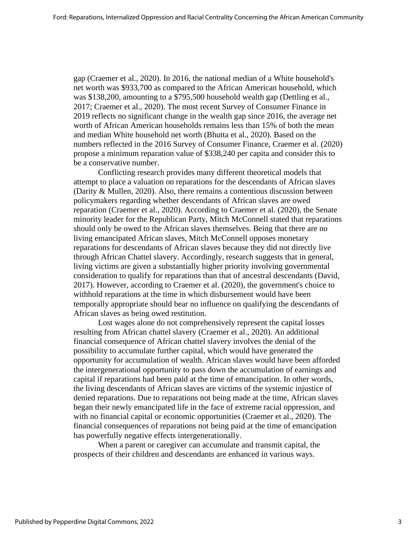gap (Craemer et al., 2020). In 2016, the national median of a White household's net worth was \$933,700 as compared to the African American household, which was \$138,200, amounting to a \$795,500 household wealth gap (Dettling et al., 2017; Craemer et al., 2020). The most recent Survey of Consumer Finance in 2019 reflects no significant change in the wealth gap since 2016, the average net worth of African American households remains less than 15% of both the mean and median White household net worth (Bhutta et al., 2020). Based on the numbers reflected in the 2016 Survey of Consumer Finance, Craemer et al. (2020) propose a minimum reparation value of \$338,240 per capita and consider this to be a conservative number.

Conflicting research provides many different theoretical models that attempt to place a valuation on reparations for the descendants of African slaves (Darity & Mullen, 2020). Also, there remains a contentious discussion between policymakers regarding whether descendants of African slaves are owed reparation (Craemer et al., 2020). According to Craemer et al. (2020), the Senate minority leader for the Republican Party, Mitch McConnell stated that reparations should only be owed to the African slaves themselves. Being that there are no living emancipated African slaves, Mitch McConnell opposes monetary reparations for descendants of African slaves because they did not directly live through African Chattel slavery. Accordingly, research suggests that in general, living victims are given a substantially higher priority involving governmental consideration to qualify for reparations than that of ancestral descendants (David, 2017). However, according to Craemer et al. (2020), the government's choice to withhold reparations at the time in which disbursement would have been temporally appropriate should bear no influence on qualifying the descendants of African slaves as being owed restitution.

Lost wages alone do not comprehensively represent the capital losses resulting from African chattel slavery (Craemer et al., 2020). An additional financial consequence of African chattel slavery involves the denial of the possibility to accumulate further capital, which would have generated the opportunity for accumulation of wealth. African slaves would have been afforded the intergenerational opportunity to pass down the accumulation of earnings and capital if reparations had been paid at the time of emancipation. In other words, the living descendants of African slaves are victims of the systemic injustice of denied reparations. Due to reparations not being made at the time, African slaves began their newly emancipated life in the face of extreme racial oppression, and with no financial capital or economic opportunities (Craemer et al., 2020). The financial consequences of reparations not being paid at the time of emancipation has powerfully negative effects intergenerationally.

When a parent or caregiver can accumulate and transmit capital, the prospects of their children and descendants are enhanced in various ways.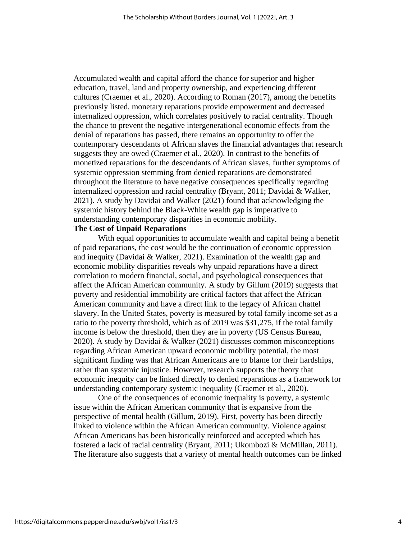Accumulated wealth and capital afford the chance for superior and higher education, travel, land and property ownership, and experiencing different cultures (Craemer et al., 2020). According to Roman (2017), among the benefits previously listed, monetary reparations provide empowerment and decreased internalized oppression, which correlates positively to racial centrality. Though the chance to prevent the negative intergenerational economic effects from the denial of reparations has passed, there remains an opportunity to offer the contemporary descendants of African slaves the financial advantages that research suggests they are owed (Craemer et al., 2020). In contrast to the benefits of monetized reparations for the descendants of African slaves, further symptoms of systemic oppression stemming from denied reparations are demonstrated throughout the literature to have negative consequences specifically regarding internalized oppression and racial centrality (Bryant, 2011; Davidai & Walker, 2021). A study by Davidai and Walker (2021) found that acknowledging the systemic history behind the Black-White wealth gap is imperative to understanding contemporary disparities in economic mobility.

#### **The Cost of Unpaid Reparations**

With equal opportunities to accumulate wealth and capital being a benefit of paid reparations, the cost would be the continuation of economic oppression and inequity (Davidai & Walker, 2021). Examination of the wealth gap and economic mobility disparities reveals why unpaid reparations have a direct correlation to modern financial, social, and psychological consequences that affect the African American community. A study by Gillum (2019) suggests that poverty and residential immobility are critical factors that affect the African American community and have a direct link to the legacy of African chattel slavery. In the United States, poverty is measured by total family income set as a ratio to the poverty threshold, which as of 2019 was \$31,275, if the total family income is below the threshold, then they are in poverty (US Census Bureau, 2020). A study by Davidai & Walker (2021) discusses common misconceptions regarding African American upward economic mobility potential, the most significant finding was that African Americans are to blame for their hardships, rather than systemic injustice. However, research supports the theory that economic inequity can be linked directly to denied reparations as a framework for understanding contemporary systemic inequality (Craemer et al., 2020).

One of the consequences of economic inequality is poverty, a systemic issue within the African American community that is expansive from the perspective of mental health (Gillum, 2019). First, poverty has been directly linked to violence within the African American community. Violence against African Americans has been historically reinforced and accepted which has fostered a lack of racial centrality (Bryant, 2011; Ukombozi & McMillan, 2011). The literature also suggests that a variety of mental health outcomes can be linked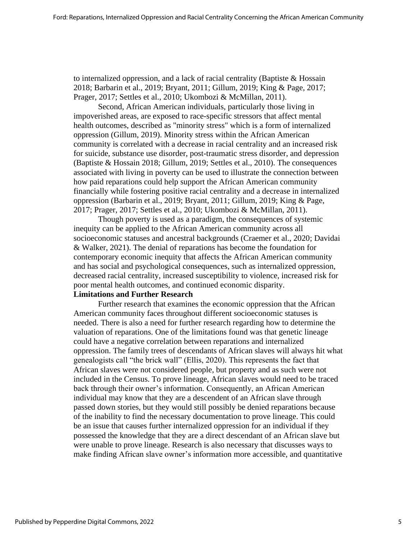to internalized oppression, and a lack of racial centrality (Baptiste & Hossain 2018; Barbarin et al., 2019; Bryant, 2011; Gillum, 2019; King & Page, 2017; Prager, 2017; Settles et al., 2010; Ukombozi & McMillan, 2011).

Second, African American individuals, particularly those living in impoverished areas, are exposed to race-specific stressors that affect mental health outcomes, described as "minority stress" which is a form of internalized oppression (Gillum, 2019). Minority stress within the African American community is correlated with a decrease in racial centrality and an increased risk for suicide, substance use disorder, post-traumatic stress disorder, and depression (Baptiste & Hossain 2018; Gillum, 2019; Settles et al., 2010). The consequences associated with living in poverty can be used to illustrate the connection between how paid reparations could help support the African American community financially while fostering positive racial centrality and a decrease in internalized oppression (Barbarin et al., 2019; Bryant, 2011; Gillum, 2019; King & Page, 2017; Prager, 2017; Settles et al., 2010; Ukombozi & McMillan, 2011).

Though poverty is used as a paradigm, the consequences of systemic inequity can be applied to the African American community across all socioeconomic statuses and ancestral backgrounds (Craemer et al., 2020; Davidai & Walker, 2021). The denial of reparations has become the foundation for contemporary economic inequity that affects the African American community and has social and psychological consequences, such as internalized oppression, decreased racial centrality, increased susceptibility to violence, increased risk for poor mental health outcomes, and continued economic disparity.

# **Limitations and Further Research**

Further research that examines the economic oppression that the African American community faces throughout different socioeconomic statuses is needed. There is also a need for further research regarding how to determine the valuation of reparations. One of the limitations found was that genetic lineage could have a negative correlation between reparations and internalized oppression. The family trees of descendants of African slaves will always hit what genealogists call "the brick wall" (Ellis, 2020). This represents the fact that African slaves were not considered people, but property and as such were not included in the Census. To prove lineage, African slaves would need to be traced back through their owner's information. Consequently, an African American individual may know that they are a descendent of an African slave through passed down stories, but they would still possibly be denied reparations because of the inability to find the necessary documentation to prove lineage. This could be an issue that causes further internalized oppression for an individual if they possessed the knowledge that they are a direct descendant of an African slave but were unable to prove lineage. Research is also necessary that discusses ways to make finding African slave owner's information more accessible, and quantitative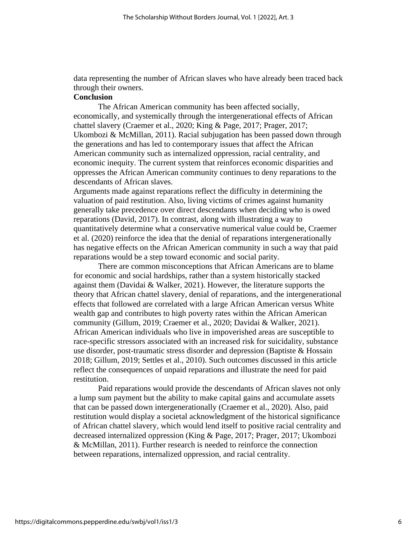data representing the number of African slaves who have already been traced back through their owners.

# **Conclusion**

The African American community has been affected socially, economically, and systemically through the intergenerational effects of African chattel slavery (Craemer et al., 2020; King & Page, 2017; Prager, 2017; Ukombozi & McMillan, 2011). Racial subjugation has been passed down through the generations and has led to contemporary issues that affect the African American community such as internalized oppression, racial centrality, and economic inequity. The current system that reinforces economic disparities and oppresses the African American community continues to deny reparations to the descendants of African slaves.

Arguments made against reparations reflect the difficulty in determining the valuation of paid restitution. Also, living victims of crimes against humanity generally take precedence over direct descendants when deciding who is owed reparations (David, 2017). In contrast, along with illustrating a way to quantitatively determine what a conservative numerical value could be, Craemer et al. (2020) reinforce the idea that the denial of reparations intergenerationally has negative effects on the African American community in such a way that paid reparations would be a step toward economic and social parity.

There are common misconceptions that African Americans are to blame for economic and social hardships, rather than a system historically stacked against them (Davidai & Walker, 2021). However, the literature supports the theory that African chattel slavery, denial of reparations, and the intergenerational effects that followed are correlated with a large African American versus White wealth gap and contributes to high poverty rates within the African American community (Gillum, 2019; Craemer et al., 2020; Davidai & Walker, 2021). African American individuals who live in impoverished areas are susceptible to race-specific stressors associated with an increased risk for suicidality, substance use disorder, post-traumatic stress disorder and depression (Baptiste & Hossain 2018; Gillum, 2019; Settles et al., 2010). Such outcomes discussed in this article reflect the consequences of unpaid reparations and illustrate the need for paid restitution.

Paid reparations would provide the descendants of African slaves not only a lump sum payment but the ability to make capital gains and accumulate assets that can be passed down intergenerationally (Craemer et al., 2020). Also, paid restitution would display a societal acknowledgment of the historical significance of African chattel slavery, which would lend itself to positive racial centrality and decreased internalized oppression (King & Page, 2017; Prager, 2017; Ukombozi & McMillan, 2011). Further research is needed to reinforce the connection between reparations, internalized oppression, and racial centrality.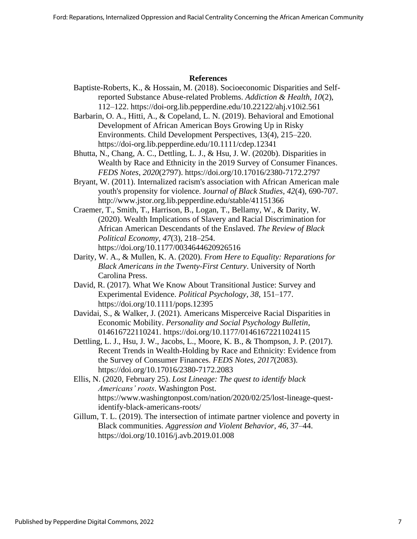#### **References**

- Baptiste-Roberts, K., & Hossain, M. (2018). Socioeconomic Disparities and Selfreported Substance Abuse-related Problems. *Addiction & Health, 10*(2), 112–122. https://doi-org.lib.pepperdine.edu/10.22122/ahj.v10i2.561
- Barbarin, O. A., Hitti, A., & Copeland, L. N. (2019). Behavioral and Emotional Development of African American Boys Growing Up in Risky Environments. Child Development Perspectives, 13(4), 215–220. <https://doi-org.lib.pepperdine.edu/10.1111/cdep.12341>
- Bhutta, N., Chang, A. C., Dettling, L. J., & Hsu, J. W. (2020b). Disparities in Wealth by Race and Ethnicity in the 2019 Survey of Consumer Finances. *FEDS Notes*, *2020*(2797). https://doi.org/10.17016/2380-7172.2797
- Bryant, W. (2011). Internalized racism's association with African American male youth's propensity for violence. J*ournal of Black Studies, 42*(4), 690-707. <http://www.jstor.org.lib.pepperdine.edu/stable/41151366>
- Craemer, T., Smith, T., Harrison, B., Logan, T., Bellamy, W., & Darity, W. (2020). Wealth Implications of Slavery and Racial Discrimination for African American Descendants of the Enslaved. *The Review of Black Political Economy*, *47*(3), 218–254. <https://doi.org/10.1177/0034644620926516>
- Darity, W. A., & Mullen, K. A. (2020). *From Here to Equality: Reparations for Black Americans in the Twenty-First Century*. University of North Carolina Press.
- David, R. (2017). What We Know About Transitional Justice: Survey and Experimental Evidence. *Political Psychology*, *38*, 151–177. <https://doi.org/10.1111/pops.12395>
- Davidai, S., & Walker, J. (2021). Americans Misperceive Racial Disparities in Economic Mobility. *Personality and Social Psychology Bulletin*, 014616722110241.<https://doi.org/10.1177/01461672211024115>
- Dettling, L. J., Hsu, J. W., Jacobs, L., Moore, K. B., & Thompson, J. P. (2017). Recent Trends in Wealth-Holding by Race and Ethnicity: Evidence from the Survey of Consumer Finances. *FEDS Notes*, *2017*(2083). https://doi.org/10.17016/2380-7172.2083
- Ellis, N. (2020, February 25). *Lost Lineage: The quest to identify black Americans' roots*. Washington Post. [https://www.washingtonpost.com/nation/2020/02/25/lost-lineage-quest](https://www.washingtonpost.com/nation/2020/02/25/lost-lineage-quest-identify-black-americans-roots/)[identify-black-americans-roots/](https://www.washingtonpost.com/nation/2020/02/25/lost-lineage-quest-identify-black-americans-roots/)
- Gillum, T. L. (2019). The intersection of intimate partner violence and poverty in Black communities. *Aggression and Violent Behavior*, *46*, 37–44. https://doi.org/10.1016/j.avb.2019.01.008